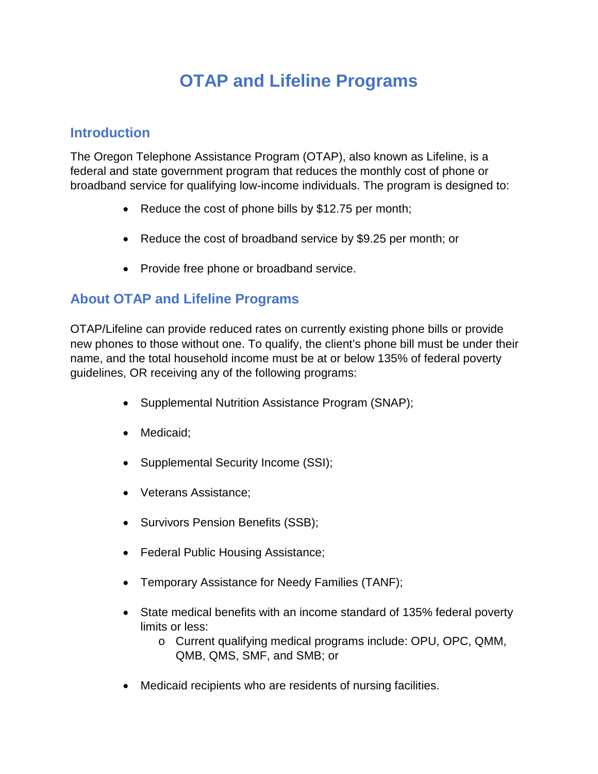## **OTAP and Lifeline Programs**

## **Introduction**

The Oregon Telephone Assistance Program (OTAP), also known as Lifeline, is a federal and state government program that reduces the monthly cost of phone or broadband service for qualifying low-income individuals. The program is designed to:

- Reduce the cost of phone bills by \$12.75 per month;
- Reduce the cost of broadband service by \$9.25 per month; or
- Provide free phone or broadband service.

## **About OTAP and Lifeline Programs**

OTAP/Lifeline can provide reduced rates on currently existing phone bills or provide new phones to those without one. To qualify, the client's phone bill must be under their name, and the total household income must be at or below 135% of federal poverty guidelines, OR receiving any of the following programs:

- Supplemental Nutrition Assistance Program (SNAP);
- Medicaid:
- Supplemental Security Income (SSI);
- Veterans Assistance;
- Survivors Pension Benefits (SSB);
- Federal Public Housing Assistance;
- Temporary Assistance for Needy Families (TANF);
- State medical benefits with an income standard of 135% federal poverty limits or less:
	- o Current qualifying medical programs include: OPU, OPC, QMM, QMB, QMS, SMF, and SMB; or
- Medicaid recipients who are residents of nursing facilities.